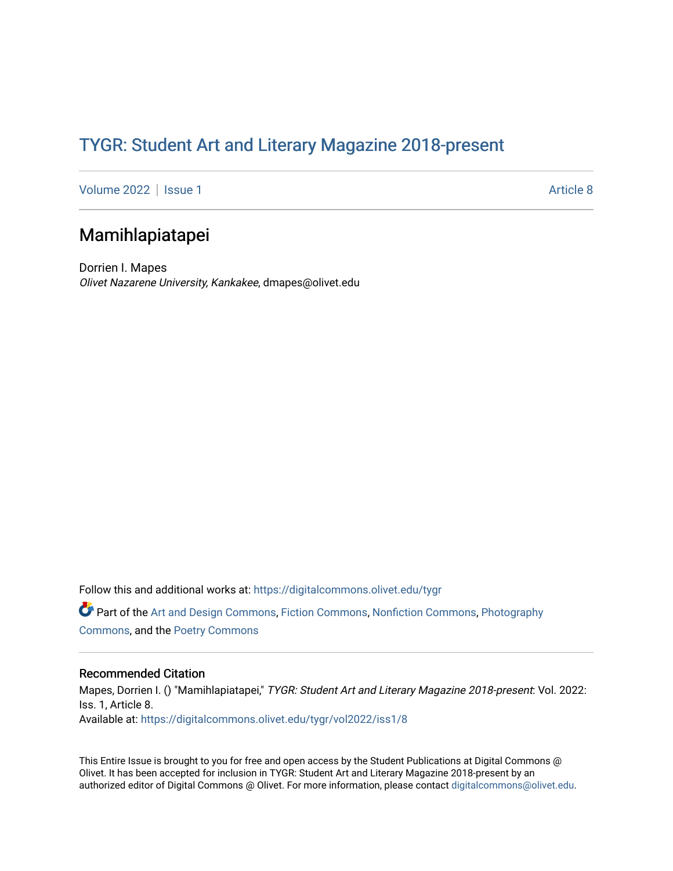## TYGR: Student Art and Literary Magazine 2018-present

[Volume 2022](https://digitalcommons.olivet.edu/tygr/vol2022) | [Issue 1](https://digitalcommons.olivet.edu/tygr/vol2022/iss1) Article 8

## Mamihlapiatapei

Dorrien I. Mapes Olivet Nazarene University, Kankakee, dmapes@olivet.edu

Follow this and additional works at: [https://digitalcommons.olivet.edu/tygr](https://digitalcommons.olivet.edu/tygr?utm_source=digitalcommons.olivet.edu%2Ftygr%2Fvol2022%2Fiss1%2F8&utm_medium=PDF&utm_campaign=PDFCoverPages) Part of the [Art and Design Commons](http://network.bepress.com/hgg/discipline/1049?utm_source=digitalcommons.olivet.edu%2Ftygr%2Fvol2022%2Fiss1%2F8&utm_medium=PDF&utm_campaign=PDFCoverPages), [Fiction Commons](http://network.bepress.com/hgg/discipline/1151?utm_source=digitalcommons.olivet.edu%2Ftygr%2Fvol2022%2Fiss1%2F8&utm_medium=PDF&utm_campaign=PDFCoverPages), [Nonfiction Commons,](http://network.bepress.com/hgg/discipline/1152?utm_source=digitalcommons.olivet.edu%2Ftygr%2Fvol2022%2Fiss1%2F8&utm_medium=PDF&utm_campaign=PDFCoverPages) [Photography](http://network.bepress.com/hgg/discipline/1142?utm_source=digitalcommons.olivet.edu%2Ftygr%2Fvol2022%2Fiss1%2F8&utm_medium=PDF&utm_campaign=PDFCoverPages) [Commons](http://network.bepress.com/hgg/discipline/1142?utm_source=digitalcommons.olivet.edu%2Ftygr%2Fvol2022%2Fiss1%2F8&utm_medium=PDF&utm_campaign=PDFCoverPages), and the [Poetry Commons](http://network.bepress.com/hgg/discipline/1153?utm_source=digitalcommons.olivet.edu%2Ftygr%2Fvol2022%2Fiss1%2F8&utm_medium=PDF&utm_campaign=PDFCoverPages)

## Recommended Citation

Mapes, Dorrien I. () "Mamihlapiatapei," TYGR: Student Art and Literary Magazine 2018-present: Vol. 2022: Iss. 1, Article 8. Available at: [https://digitalcommons.olivet.edu/tygr/vol2022/iss1/8](https://digitalcommons.olivet.edu/tygr/vol2022/iss1/8?utm_source=digitalcommons.olivet.edu%2Ftygr%2Fvol2022%2Fiss1%2F8&utm_medium=PDF&utm_campaign=PDFCoverPages) 

This Entire Issue is brought to you for free and open access by the Student Publications at Digital Commons @ Olivet. It has been accepted for inclusion in TYGR: Student Art and Literary Magazine 2018-present by an authorized editor of Digital Commons @ Olivet. For more information, please contact [digitalcommons@olivet.edu.](mailto:digitalcommons@olivet.edu)